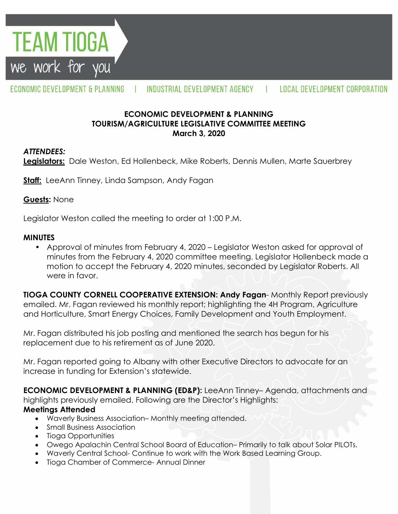

#### ECONOMIC DEVELOPMENT & PLANNING INDUSTRIAL DEVELOPMENT AGENCY LOCAL DEVELOPMENT CORPORATION  $\blacksquare$

# **ECONOMIC DEVELOPMENT & PLANNING TOURISM/AGRICULTURE LEGISLATIVE COMMITTEE MEETING March 3, 2020**

### *ATTENDEES:*

**Legislators:** Dale Weston, Ed Hollenbeck, Mike Roberts, Dennis Mullen, Marte Sauerbrey

**Staff:** LeeAnn Tinney, Linda Sampson, Andy Fagan

### **Guests:** None

Legislator Weston called the meeting to order at 1:00 P.M.

### **MINUTES**

• Approval of minutes from February 4, 2020 – Legislator Weston asked for approval of minutes from the February 4, 2020 committee meeting. Legislator Hollenbeck made a motion to accept the February 4, 2020 minutes, seconded by Legislator Roberts. All were in favor.

**TIOGA COUNTY CORNELL COOPERATIVE EXTENSION: Andy Fagan**- Monthly Report previously emailed. Mr. Fagan reviewed his monthly report; highlighting the 4H Program, Agriculture and Horticulture, Smart Energy Choices, Family Development and Youth Employment.

Mr. Fagan distributed his job posting and mentioned the search has begun for his replacement due to his retirement as of June 2020.

Mr. Fagan reported going to Albany with other Executive Directors to advocate for an increase in funding for Extension's statewide.

**ECONOMIC DEVELOPMENT & PLANNING (ED&P):** LeeAnn Tinney– Agenda, attachments and highlights previously emailed. Following are the Director's Highlights:

# **Meetings Attended**

- Waverly Business Association– Monthly meeting attended.
- Small Business Association
- Tioga Opportunities
- Owego Apalachin Central School Board of Education– Primarily to talk about Solar PILOTs.
- Waverly Central School- Continue to work with the Work Based Learning Group.
- Tioga Chamber of Commerce- Annual Dinner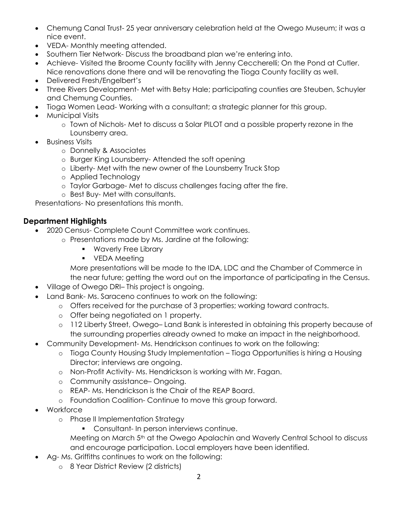- Chemung Canal Trust- 25 year anniversary celebration held at the Owego Museum; it was a nice event.
- VEDA- Monthly meeting attended.
- Southern Tier Network- Discuss the broadband plan we're entering into.
- Achieve- Visited the Broome County facility with Jenny Ceccherelli; On the Pond at Cutler. Nice renovations done there and will be renovating the Tioga County facility as well.
- Delivered Fresh/Engelbert's
- Three Rivers Development- Met with Betsy Hale; participating counties are Steuben, Schuyler and Chemung Counties.
- Tioga Women Lead- Working with a consultant; a strategic planner for this group.
- Municipal Visits
	- o Town of Nichols- Met to discuss a Solar PILOT and a possible property rezone in the Lounsberry area.
- Business Visits
	- o Donnelly & Associates
	- o Burger King Lounsberry- Attended the soft opening
	- o Liberty- Met with the new owner of the Lounsberry Truck Stop
	- o Applied Technology
	- o Taylor Garbage- Met to discuss challenges facing after the fire.
	- o Best Buy- Met with consultants.

Presentations- No presentations this month.

# **Department Highlights**

- 2020 Census- Complete Count Committee work continues.
	- o Presentations made by Ms. Jardine at the following:
		- **Waverly Free Library**
		- **•** VEDA Meeting

More presentations will be made to the IDA, LDC and the Chamber of Commerce in the near future; getting the word out on the importance of participating in the Census.

- Village of Owego DRI– This project is ongoing.
- Land Bank- Ms. Saraceno continues to work on the following:
	- o Offers received for the purchase of 3 properties; working toward contracts.
	- o Offer being negotiated on 1 property.
	- o 112 Liberty Street, Owego– Land Bank is interested in obtaining this property because of the surrounding properties already owned to make an impact in the neighborhood.
- Community Development- Ms. Hendrickson continues to work on the following:
	- o Tioga County Housing Study Implementation Tioga Opportunities is hiring a Housing Director; interviews are ongoing.
	- o Non-Profit Activity- Ms. Hendrickson is working with Mr. Fagan.
	- o Community assistance– Ongoing.
	- o REAP- Ms. Hendrickson is the Chair of the REAP Board.
	- o Foundation Coalition- Continue to move this group forward.
- Workforce
	- o Phase II Implementation Strategy
		- **Consultant- In person interviews continue.**

Meeting on March 5<sup>th</sup> at the Owego Apalachin and Waverly Central School to discuss and encourage participation. Local employers have been identified.

- Ag- Ms. Griffiths continues to work on the following:
	- o 8 Year District Review (2 districts)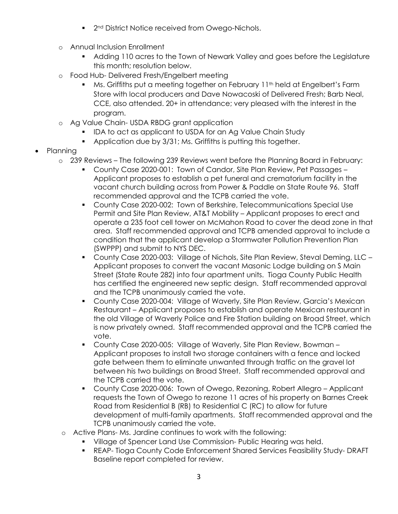- 2<sup>nd</sup> District Notice received from Owego-Nichols.
- o Annual Inclusion Enrollment
	- Adding 110 acres to the Town of Newark Valley and goes before the Legislature this month; resolution below.
- o Food Hub- Delivered Fresh/Engelbert meeting
	- Ms. Griffiths put a meeting together on February 11<sup>th</sup> held at Engelbert's Farm Store with local producers and Dave Nowacoski of Delivered Fresh; Barb Neal, CCE, also attended. 20+ in attendance; very pleased with the interest in the program.
- o Ag Value Chain- USDA RBDG grant application
	- IDA to act as applicant to USDA for an Ag Value Chain Study
	- Application due by 3/31; Ms. Griffiths is putting this together.
- Planning
	- o 239 Reviews The following 239 Reviews went before the Planning Board in February:
		- County Case 2020-001: Town of Candor, Site Plan Review, Pet Passages Applicant proposes to establish a pet funeral and crematorium facility in the vacant church building across from Power & Paddle on State Route 96. Staff recommended approval and the TCPB carried the vote.
		- County Case 2020-002: Town of Berkshire, Telecommunications Special Use Permit and Site Plan Review, AT&T Mobility – Applicant proposes to erect and operate a 235 foot cell tower on McMahon Road to cover the dead zone in that area. Staff recommended approval and TCPB amended approval to include a condition that the applicant develop a Stormwater Pollution Prevention Plan (SWPPP) and submit to NYS DEC.
		- County Case 2020-003: Village of Nichols, Site Plan Review, Steval Deming, LLC Applicant proposes to convert the vacant Masonic Lodge building on S Main Street (State Route 282) into four apartment units. Tioga County Public Health has certified the engineered new septic design. Staff recommended approval and the TCPB unanimously carried the vote.
		- County Case 2020-004: Village of Waverly, Site Plan Review, Garcia's Mexican Restaurant – Applicant proposes to establish and operate Mexican restaurant in the old Village of Waverly Police and Fire Station building on Broad Street, which is now privately owned. Staff recommended approval and the TCPB carried the vote.
		- County Case 2020-005: Village of Waverly, Site Plan Review, Bowman Applicant proposes to install two storage containers with a fence and locked gate between them to eliminate unwanted through traffic on the gravel lot between his two buildings on Broad Street. Staff recommended approval and the TCPB carried the vote.
		- County Case 2020-006: Town of Owego, Rezoning, Robert Allegro Applicant requests the Town of Owego to rezone 11 acres of his property on Barnes Creek Road from Residential B (RB) to Residential C (RC) to allow for future development of multi-family apartments. Staff recommended approval and the TCPB unanimously carried the vote.
	- o Active Plans- Ms. Jardine continues to work with the following:
		- Village of Spencer Land Use Commission- Public Hearing was held.
		- REAP- Tioga County Code Enforcement Shared Services Feasibility Study- DRAFT Baseline report completed for review.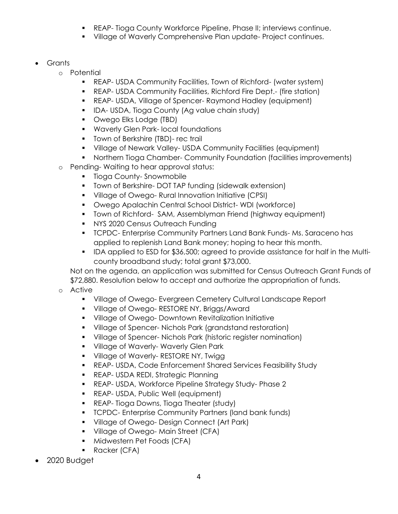- **REAP- Tioga County Workforce Pipeline, Phase II; interviews continue.**
- **Village of Waverly Comprehensive Plan update- Project continues.**
- Grants
	- o Potential
		- REAP- USDA Community Facilities, Town of Richford- (water system)
		- REAP- USDA Community Facilities, Richford Fire Dept.- (fire station)
		- REAP- USDA, Village of Spencer- Raymond Hadley (equipment)
		- **IDA- USDA, Tioga County (Ag value chain study)**
		- **•** Owego Elks Lodge (TBD)
		- **Waverly Glen Park- local foundations**
		- **Town of Berkshire (TBD)- rec trail**
		- Village of Newark Valley- USDA Community Facilities (equipment)
		- Northern Tioga Chamber- Community Foundation (facilities improvements)
	- o Pending- Waiting to hear approval status:
		- **Tioga County-Snowmobile**
		- **Town of Berkshire-DOT TAP funding (sidewalk extension)**
		- **•** Village of Owego- Rural Innovation Initiative (CPSI)
		- Owego Apalachin Central School District- WDI (workforce)
		- **Town of Richford- SAM, Assemblyman Friend (highway equipment)**
		- **NYS 2020 Census Outreach Funding**
		- **TCPDC- Enterprise Community Partners Land Bank Funds-Ms. Saraceno has** applied to replenish Land Bank money; hoping to hear this month.
		- **IDA applied to ESD for \$36,500; agreed to provide assistance for half in the Multi**county broadband study; total grant \$73,000.

Not on the agenda, an application was submitted for Census Outreach Grant Funds of \$72,880. Resolution below to accept and authorize the appropriation of funds.

- o Active
	- Village of Owego- Evergreen Cemetery Cultural Landscape Report
	- **Village of Owego- RESTORE NY, Briggs/Award**
	- **Village of Owego- Downtown Revitalization Initiative**
	- Village of Spencer- Nichols Park (grandstand restoration)
	- Village of Spencer- Nichols Park (historic register nomination)
	- **Village of Waverly- Waverly Glen Park**
	- **Village of Waverly- RESTORE NY, Twigg**
	- REAP- USDA, Code Enforcement Shared Services Feasibility Study
	- **REAP- USDA REDI, Strategic Planning**
	- REAP- USDA, Workforce Pipeline Strategy Study- Phase 2
	- **REAP- USDA, Public Well (equipment)**
	- **REAP- Tioga Downs, Tioga Theater (study)**
	- **TCPDC- Enterprise Community Partners (land bank funds)**
	- **Village of Owego- Design Connect (Art Park)**
	- **Village of Owego-Main Street (CFA)**
	- **Midwestern Pet Foods (CFA)**
	- Racker (CFA)
- 2020 Budget